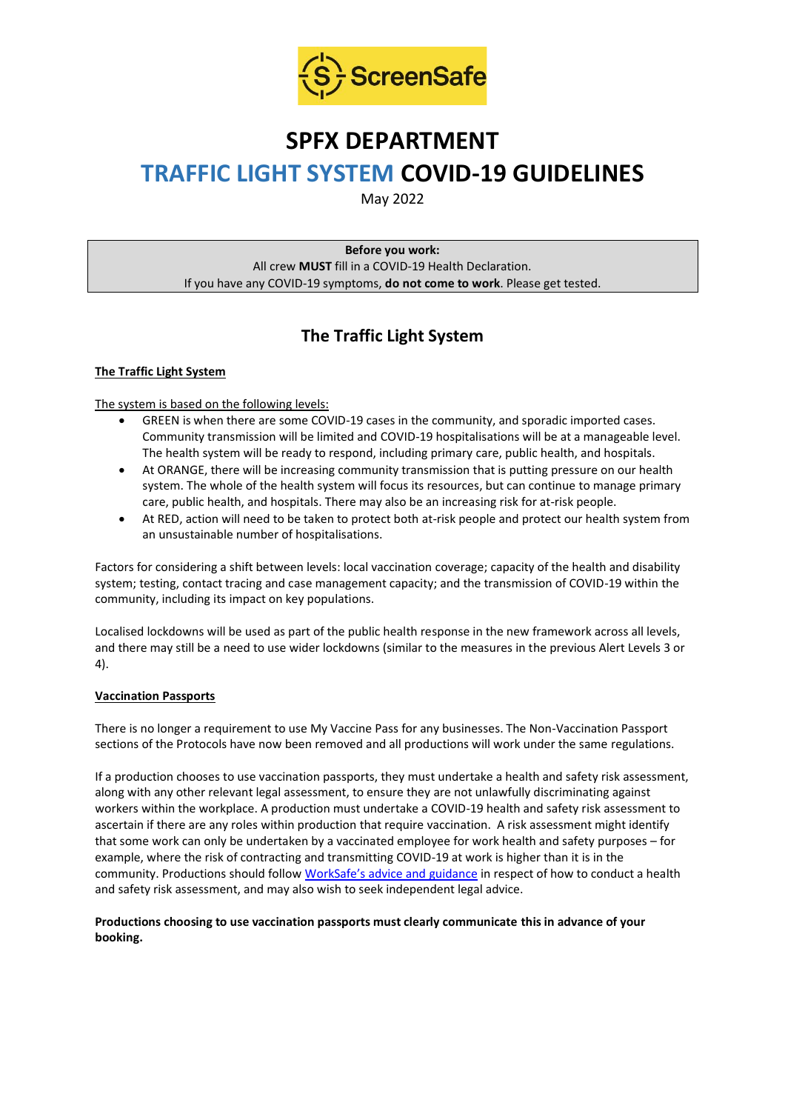

# **SPFX DEPARTMENT**

# **TRAFFIC LIGHT SYSTEM COVID-19 GUIDELINES**

May 2022

**Before you work:** All crew **MUST** fill in a COVID-19 Health Declaration. If you have any COVID-19 symptoms, **do not come to work**. Please get tested.

## **The Traffic Light System**

#### **The Traffic Light System**

#### The system is based on the following levels:

- GREEN is when there are some COVID-19 cases in the community, and sporadic imported cases. Community transmission will be limited and COVID-19 hospitalisations will be at a manageable level. The health system will be ready to respond, including primary care, public health, and hospitals.
- At ORANGE, there will be increasing community transmission that is putting pressure on our health system. The whole of the health system will focus its resources, but can continue to manage primary care, public health, and hospitals. There may also be an increasing risk for at-risk people.
- At RED, action will need to be taken to protect both at-risk people and protect our health system from an unsustainable number of hospitalisations.

Factors for considering a shift between levels: local vaccination coverage; capacity of the health and disability system; testing, contact tracing and case management capacity; and the transmission of COVID-19 within the community, including its impact on key populations.

Localised lockdowns will be used as part of the public health response in the new framework across all levels, and there may still be a need to use wider lockdowns (similar to the measures in the previous Alert Levels 3 or 4).

#### **Vaccination Passports**

There is no longer a requirement to use My Vaccine Pass for any businesses. The Non-Vaccination Passport sections of the Protocols have now been removed and all productions will work under the same regulations.

If a production chooses to use vaccination passports, they must undertake a health and safety risk assessment, along with any other relevant legal assessment, to ensure they are not unlawfully discriminating against workers within the workplace. A production must undertake a COVID-19 health and safety risk assessment to ascertain if there are any roles within production that require vaccination. A risk assessment might identify that some work can only be undertaken by a vaccinated employee for work health and safety purposes – for example, where the risk of contracting and transmitting COVID-19 at work is higher than it is in the community. Productions should follow [WorkSafe's advice and guidance](https://www.worksafe.govt.nz/managing-health-and-safety/novel-coronavirus-covid/covid-19-controls-at-work/) in respect of how to conduct a health and safety risk assessment, and may also wish to seek independent legal advice.

#### **Productions choosing to use vaccination passports must clearly communicate this in advance of your booking.**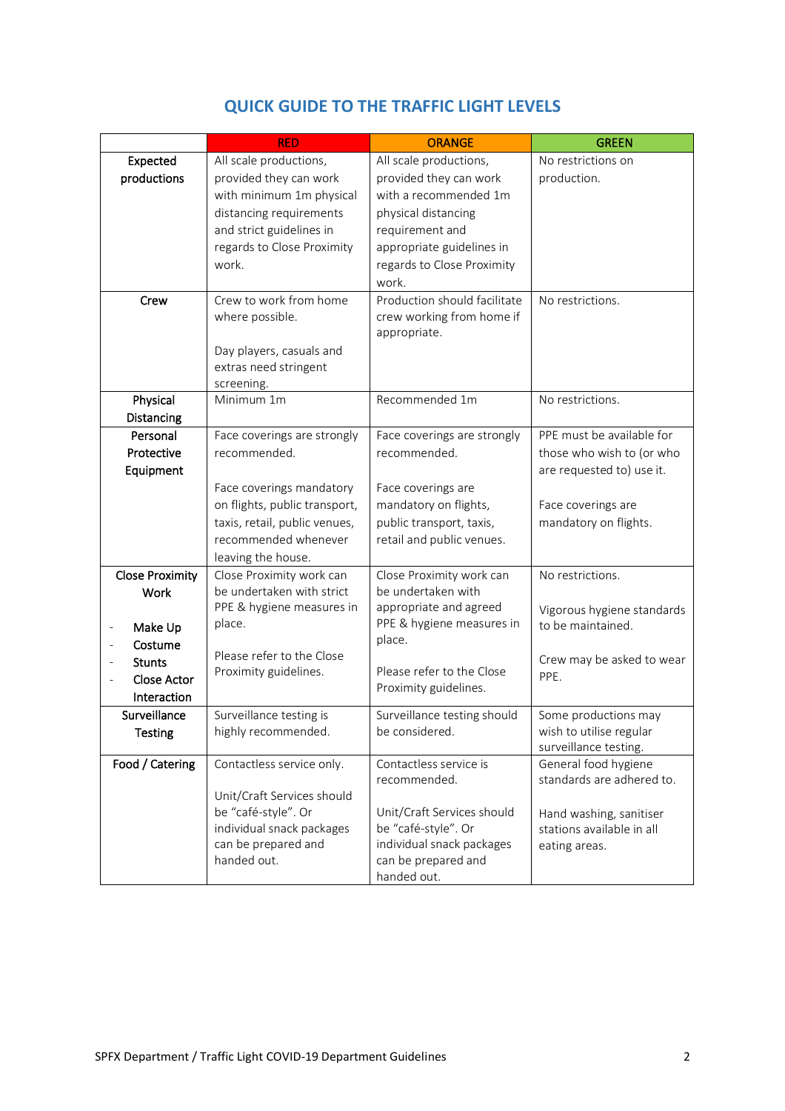|                        | <b>RED</b>                         | <b>ORANGE</b>                                    | <b>GREEN</b>               |
|------------------------|------------------------------------|--------------------------------------------------|----------------------------|
| Expected               | All scale productions,             | All scale productions,                           | No restrictions on         |
| productions            | provided they can work             | provided they can work                           | production.                |
|                        | with minimum 1m physical           | with a recommended 1m                            |                            |
|                        | distancing requirements            | physical distancing                              |                            |
|                        | and strict guidelines in           | requirement and                                  |                            |
|                        | regards to Close Proximity         | appropriate guidelines in                        |                            |
|                        | work.                              | regards to Close Proximity                       |                            |
|                        |                                    | work.                                            |                            |
| Crew                   | Crew to work from home             | Production should facilitate                     | No restrictions.           |
|                        | where possible.                    | crew working from home if                        |                            |
|                        |                                    | appropriate.                                     |                            |
|                        | Day players, casuals and           |                                                  |                            |
|                        | extras need stringent              |                                                  |                            |
|                        | screening.<br>Minimum 1m           | Recommended 1m                                   | No restrictions.           |
| Physical<br>Distancing |                                    |                                                  |                            |
| Personal               | Face coverings are strongly        | Face coverings are strongly                      | PPE must be available for  |
| Protective             | recommended.                       | recommended.                                     | those who wish to (or who  |
| Equipment              |                                    |                                                  | are requested to) use it.  |
|                        | Face coverings mandatory           | Face coverings are                               |                            |
|                        | on flights, public transport,      | mandatory on flights,                            | Face coverings are         |
|                        | taxis, retail, public venues,      | public transport, taxis,                         | mandatory on flights.      |
|                        | recommended whenever               | retail and public venues.                        |                            |
|                        | leaving the house.                 |                                                  |                            |
| <b>Close Proximity</b> | Close Proximity work can           | Close Proximity work can                         | No restrictions.           |
| Work                   | be undertaken with strict          | be undertaken with                               |                            |
|                        | PPE & hygiene measures in          | appropriate and agreed                           | Vigorous hygiene standards |
| Make Up                | place.                             | PPE & hygiene measures in                        | to be maintained.          |
| Costume                |                                    | place.                                           |                            |
| <b>Stunts</b>          | Please refer to the Close          |                                                  | Crew may be asked to wear  |
| Close Actor            | Proximity guidelines.              | Please refer to the Close                        | PPE.                       |
| Interaction            |                                    | Proximity guidelines.                            |                            |
| Surveillance           | Surveillance testing is            | Surveillance testing should                      | Some productions may       |
| <b>Testing</b>         | highly recommended.                | be considered.                                   | wish to utilise regular    |
|                        |                                    |                                                  | surveillance testing.      |
| Food / Catering        | Contactless service only.          | Contactless service is                           | General food hygiene       |
|                        |                                    | recommended.                                     | standards are adhered to.  |
|                        | Unit/Craft Services should         |                                                  |                            |
|                        | be "café-style". Or                | Unit/Craft Services should                       | Hand washing, sanitiser    |
|                        | individual snack packages          | be "café-style". Or                              | stations available in all  |
|                        | can be prepared and<br>handed out. | individual snack packages<br>can be prepared and | eating areas.              |
|                        |                                    | handed out.                                      |                            |

## **QUICK GUIDE TO THE TRAFFIC LIGHT LEVELS**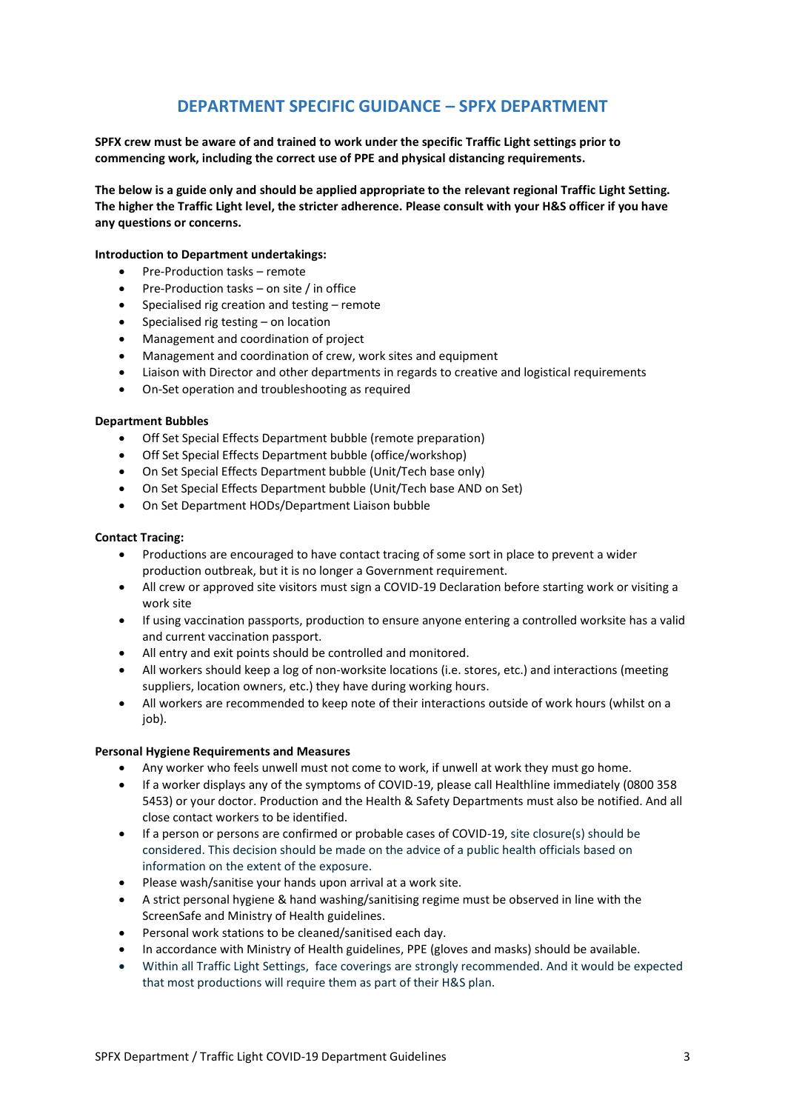### **DEPARTMENT SPECIFIC GUIDANCE – SPFX DEPARTMENT**

**SPFX crew must be aware of and trained to work under the specific Traffic Light settings prior to commencing work, including the correct use of PPE and physical distancing requirements.**

**The below is a guide only and should be applied appropriate to the relevant regional Traffic Light Setting. The higher the Traffic Light level, the stricter adherence. Please consult with your H&S officer if you have any questions or concerns.**

#### **Introduction to Department undertakings:**

- Pre-Production tasks remote
- Pre-Production tasks on site / in office
- Specialised rig creation and testing remote
- Specialised rig testing on location
- Management and coordination of project
- Management and coordination of crew, work sites and equipment
- Liaison with Director and other departments in regards to creative and logistical requirements
- On-Set operation and troubleshooting as required

#### **Department Bubbles**

- Off Set Special Effects Department bubble (remote preparation)
- Off Set Special Effects Department bubble (office/workshop)
- On Set Special Effects Department bubble (Unit/Tech base only)
- On Set Special Effects Department bubble (Unit/Tech base AND on Set)
- On Set Department HODs/Department Liaison bubble

#### **Contact Tracing:**

- Productions are encouraged to have contact tracing of some sort in place to prevent a wider production outbreak, but it is no longer a Government requirement.
- All crew or approved site visitors must sign a COVID-19 Declaration before starting work or visiting a work site
- If using vaccination passports, production to ensure anyone entering a controlled worksite has a valid and current vaccination passport.
- All entry and exit points should be controlled and monitored.
- All workers should keep a log of non-worksite locations (i.e. stores, etc.) and interactions (meeting suppliers, location owners, etc.) they have during working hours.
- All workers are recommended to keep note of their interactions outside of work hours (whilst on a job).

#### **Personal Hygiene Requirements and Measures**

- Any worker who feels unwell must not come to work, if unwell at work they must go home.
- If a worker displays any of the symptoms of COVID-19, please call Healthline immediately (0800 358 5453) or your doctor. Production and the Health & Safety Departments must also be notified. And all close contact workers to be identified.
- If a person or persons are confirmed or probable cases of COVID-19, site closure(s) should be considered. This decision should be made on the advice of a public health officials based on information on the extent of the exposure.
- Please wash/sanitise your hands upon arrival at a work site.
- A strict personal hygiene & hand washing/sanitising regime must be observed in line with the ScreenSafe and Ministry of Health guidelines.
- Personal work stations to be cleaned/sanitised each day.
- In accordance with Ministry of Health guidelines, PPE (gloves and masks) should be available.
- Within all Traffic Light Settings, face coverings are strongly recommended. And it would be expected that most productions will require them as part of their H&S plan.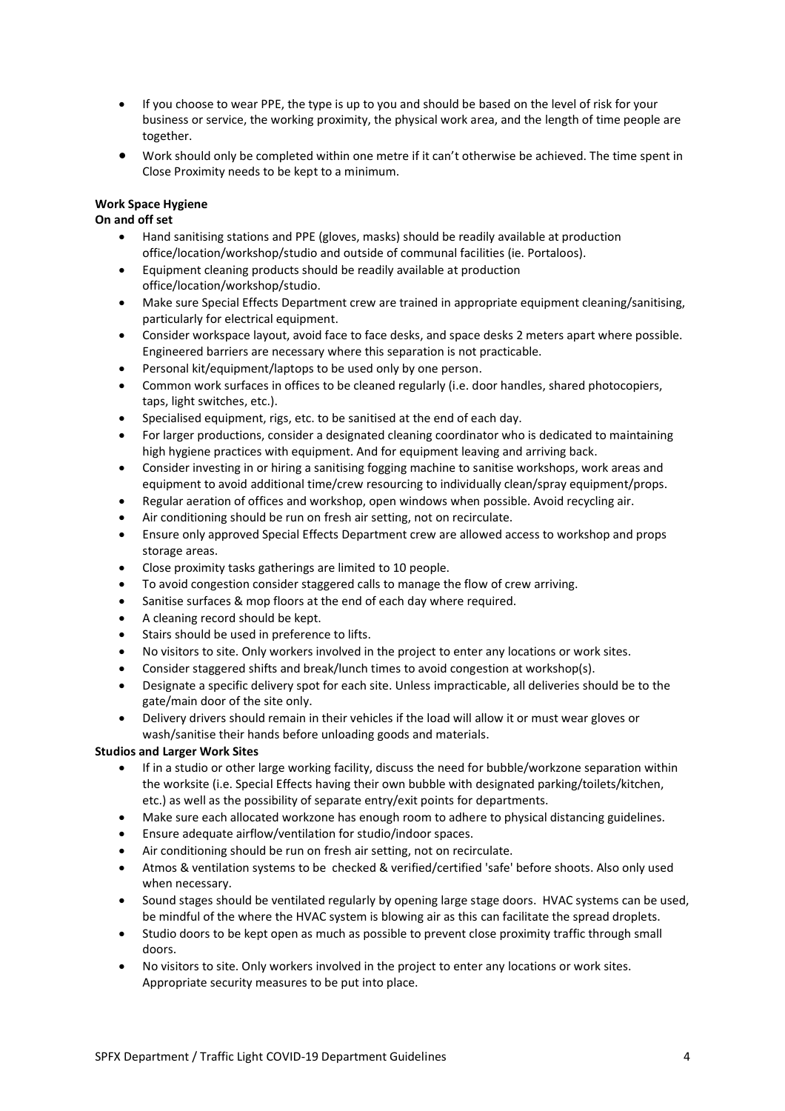- If you choose to wear PPE, the type is up to you and should be based on the level of risk for your business or service, the working proximity, the physical work area, and the length of time people are together.
- Work should only be completed within one metre if it can't otherwise be achieved. The time spent in Close Proximity needs to be kept to a minimum.

#### **Work Space Hygiene**

#### **On and off set**

- Hand sanitising stations and PPE (gloves, masks) should be readily available at production office/location/workshop/studio and outside of communal facilities (ie. Portaloos).
- Equipment cleaning products should be readily available at production office/location/workshop/studio.
- Make sure Special Effects Department crew are trained in appropriate equipment cleaning/sanitising, particularly for electrical equipment.
- Consider workspace layout, avoid face to face desks, and space desks 2 meters apart where possible. Engineered barriers are necessary where this separation is not practicable.
- Personal kit/equipment/laptops to be used only by one person.
- Common work surfaces in offices to be cleaned regularly (i.e. door handles, shared photocopiers, taps, light switches, etc.).
- Specialised equipment, rigs, etc. to be sanitised at the end of each day.
- For larger productions, consider a designated cleaning coordinator who is dedicated to maintaining high hygiene practices with equipment. And for equipment leaving and arriving back.
- Consider investing in or hiring a sanitising fogging machine to sanitise workshops, work areas and equipment to avoid additional time/crew resourcing to individually clean/spray equipment/props.
- Regular aeration of offices and workshop, open windows when possible. Avoid recycling air.
- Air conditioning should be run on fresh air setting, not on recirculate.
- Ensure only approved Special Effects Department crew are allowed access to workshop and props storage areas.
- Close proximity tasks gatherings are limited to 10 people.
- To avoid congestion consider staggered calls to manage the flow of crew arriving.
- Sanitise surfaces & mop floors at the end of each day where required.
- A cleaning record should be kept.
- Stairs should be used in preference to lifts.
- No visitors to site. Only workers involved in the project to enter any locations or work sites.
- Consider staggered shifts and break/lunch times to avoid congestion at workshop(s).
- Designate a specific delivery spot for each site. Unless impracticable, all deliveries should be to the gate/main door of the site only.
- Delivery drivers should remain in their vehicles if the load will allow it or must wear gloves or wash/sanitise their hands before unloading goods and materials.

#### **Studios and Larger Work Sites**

- If in a studio or other large working facility, discuss the need for bubble/workzone separation within the worksite (i.e. Special Effects having their own bubble with designated parking/toilets/kitchen, etc.) as well as the possibility of separate entry/exit points for departments.
- Make sure each allocated workzone has enough room to adhere to physical distancing guidelines.
- Ensure adequate airflow/ventilation for studio/indoor spaces.
- Air conditioning should be run on fresh air setting, not on recirculate.
- Atmos & ventilation systems to be checked & verified/certified 'safe' before shoots. Also only used when necessary.
- Sound stages should be ventilated regularly by opening large stage doors. HVAC systems can be used, be mindful of the where the HVAC system is blowing air as this can facilitate the spread droplets.
- Studio doors to be kept open as much as possible to prevent close proximity traffic through small doors.
- No visitors to site. Only workers involved in the project to enter any locations or work sites. Appropriate security measures to be put into place.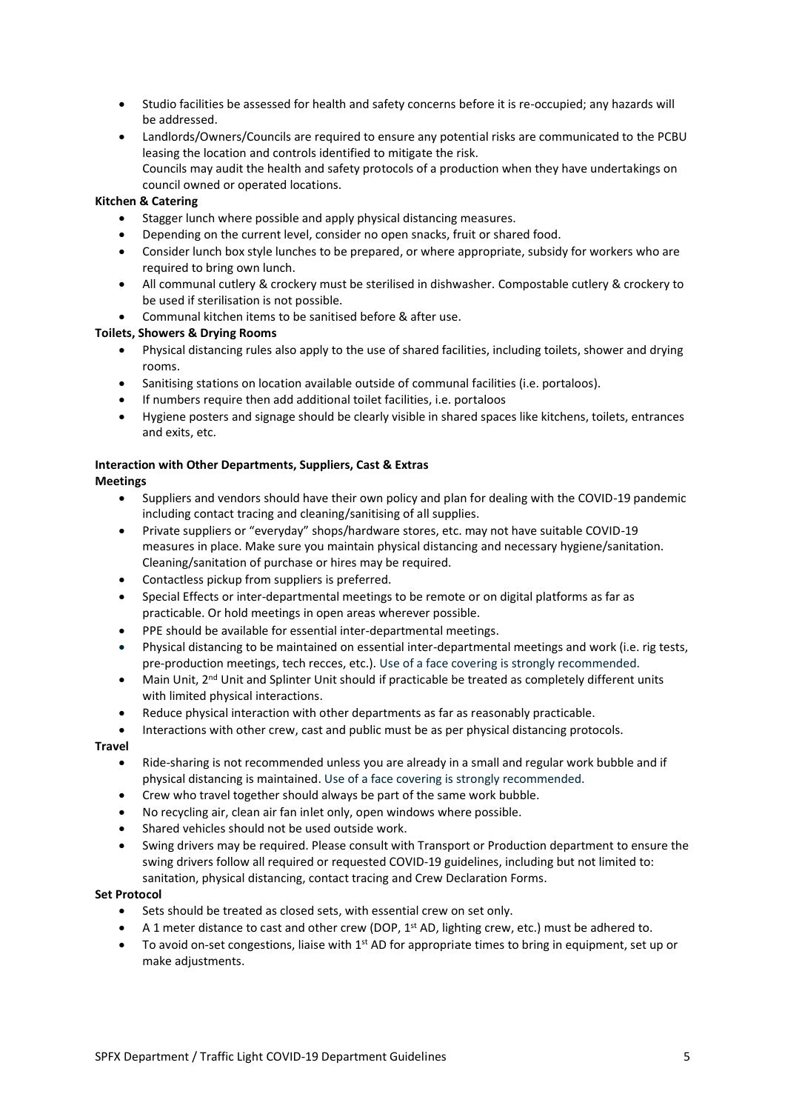- Studio facilities be assessed for health and safety concerns before it is re-occupied; any hazards will be addressed.
- Landlords/Owners/Councils are required to ensure any potential risks are communicated to the PCBU leasing the location and controls identified to mitigate the risk. Councils may audit the health and safety protocols of a production when they have undertakings on council owned or operated locations.

#### **Kitchen & Catering**

- Stagger lunch where possible and apply physical distancing measures.
- Depending on the current level, consider no open snacks, fruit or shared food.
- Consider lunch box style lunches to be prepared, or where appropriate, subsidy for workers who are required to bring own lunch.
- All communal cutlery & crockery must be sterilised in dishwasher. Compostable cutlery & crockery to be used if sterilisation is not possible.
- Communal kitchen items to be sanitised before & after use.

#### **Toilets, Showers & Drying Rooms**

- Physical distancing rules also apply to the use of shared facilities, including toilets, shower and drying rooms.
- Sanitising stations on location available outside of communal facilities (i.e. portaloos).
- If numbers require then add additional toilet facilities, i.e. portaloos
- Hygiene posters and signage should be clearly visible in shared spaces like kitchens, toilets, entrances and exits, etc.

### **Interaction with Other Departments, Suppliers, Cast & Extras**

#### **Meetings**

- Suppliers and vendors should have their own policy and plan for dealing with the COVID-19 pandemic including contact tracing and cleaning/sanitising of all supplies.
- Private suppliers or "everyday" shops/hardware stores, etc. may not have suitable COVID-19 measures in place. Make sure you maintain physical distancing and necessary hygiene/sanitation. Cleaning/sanitation of purchase or hires may be required.
- Contactless pickup from suppliers is preferred.
- Special Effects or inter-departmental meetings to be remote or on digital platforms as far as practicable. Or hold meetings in open areas wherever possible.
- PPE should be available for essential inter-departmental meetings.
- Physical distancing to be maintained on essential inter-departmental meetings and work (i.e. rig tests, pre-production meetings, tech recces, etc.). Use of a face covering is strongly recommended.
- Main Unit, 2<sup>nd</sup> Unit and Splinter Unit should if practicable be treated as completely different units with limited physical interactions.
- Reduce physical interaction with other departments as far as reasonably practicable.
- Interactions with other crew, cast and public must be as per physical distancing protocols.

#### **Travel**

- Ride-sharing is not recommended unless you are already in a small and regular work bubble and if physical distancing is maintained. Use of a face covering is strongly recommended.
- Crew who travel together should always be part of the same work bubble.
- No recycling air, clean air fan inlet only, open windows where possible.
- Shared vehicles should not be used outside work.
- Swing drivers may be required. Please consult with Transport or Production department to ensure the swing drivers follow all required or requested COVID-19 guidelines, including but not limited to: sanitation, physical distancing, contact tracing and Crew Declaration Forms.

#### **Set Protocol**

- Sets should be treated as closed sets, with essential crew on set only.
- A 1 meter distance to cast and other crew (DOP,  $1^{st}$  AD, lighting crew, etc.) must be adhered to.
- To avoid on-set congestions, liaise with  $1<sup>st</sup>$  AD for appropriate times to bring in equipment, set up or make adjustments.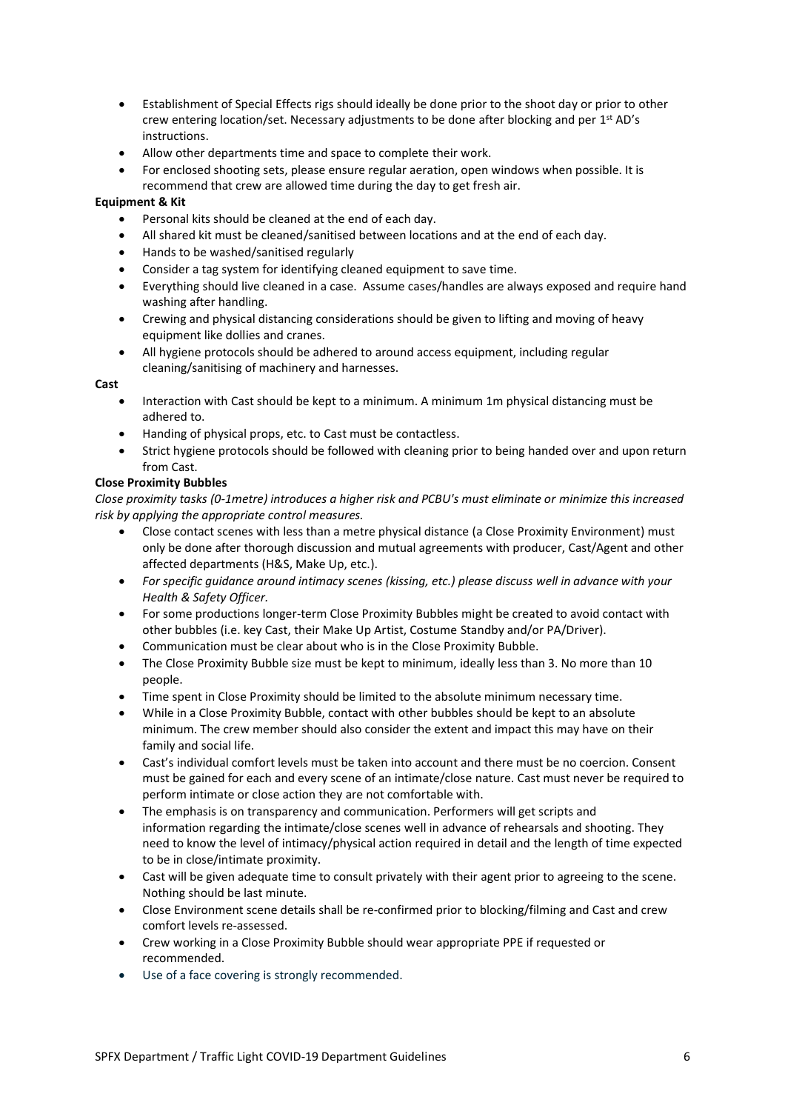- Establishment of Special Effects rigs should ideally be done prior to the shoot day or prior to other crew entering location/set. Necessary adjustments to be done after blocking and per 1<sup>st</sup> AD's instructions.
- Allow other departments time and space to complete their work.
- For enclosed shooting sets, please ensure regular aeration, open windows when possible. It is recommend that crew are allowed time during the day to get fresh air.

#### **Equipment & Kit**

- Personal kits should be cleaned at the end of each day.
- All shared kit must be cleaned/sanitised between locations and at the end of each day.
- Hands to be washed/sanitised regularly
- Consider a tag system for identifying cleaned equipment to save time.
- Everything should live cleaned in a case. Assume cases/handles are always exposed and require hand washing after handling.
- Crewing and physical distancing considerations should be given to lifting and moving of heavy equipment like dollies and cranes.
- All hygiene protocols should be adhered to around access equipment, including regular cleaning/sanitising of machinery and harnesses.

#### **Cast**

- Interaction with Cast should be kept to a minimum. A minimum 1m physical distancing must be adhered to.
- Handing of physical props, etc. to Cast must be contactless.
- Strict hygiene protocols should be followed with cleaning prior to being handed over and upon return from Cast.

#### **Close Proximity Bubbles**

*Close proximity tasks (0-1metre) introduces a higher risk and PCBU's must eliminate or minimize this increased risk by applying the appropriate control measures.* 

- Close contact scenes with less than a metre physical distance (a Close Proximity Environment) must only be done after thorough discussion and mutual agreements with producer, Cast/Agent and other affected departments (H&S, Make Up, etc.).
- *For specific guidance around intimacy scenes (kissing, etc.) please discuss well in advance with your Health & Safety Officer.*
- For some productions longer-term Close Proximity Bubbles might be created to avoid contact with other bubbles (i.e. key Cast, their Make Up Artist, Costume Standby and/or PA/Driver).
- Communication must be clear about who is in the Close Proximity Bubble.
- The Close Proximity Bubble size must be kept to minimum, ideally less than 3. No more than 10 people.
- Time spent in Close Proximity should be limited to the absolute minimum necessary time.
- While in a Close Proximity Bubble, contact with other bubbles should be kept to an absolute minimum. The crew member should also consider the extent and impact this may have on their family and social life.
- Cast's individual comfort levels must be taken into account and there must be no coercion. Consent must be gained for each and every scene of an intimate/close nature. Cast must never be required to perform intimate or close action they are not comfortable with.
- The emphasis is on transparency and communication. Performers will get scripts and information regarding the intimate/close scenes well in advance of rehearsals and shooting. They need to know the level of intimacy/physical action required in detail and the length of time expected to be in close/intimate proximity.
- Cast will be given adequate time to consult privately with their agent prior to agreeing to the scene. Nothing should be last minute.
- Close Environment scene details shall be re-confirmed prior to blocking/filming and Cast and crew comfort levels re-assessed.
- Crew working in a Close Proximity Bubble should wear appropriate PPE if requested or recommended.
- Use of a face covering is strongly recommended.